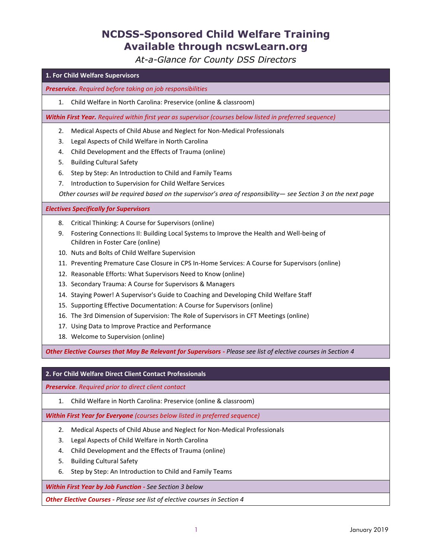## **NCDSS-Sponsored Child Welfare Training Available through ncswLearn.org**

*At-a-Glance for County DSS Directors*

## **1. For Child Welfare Supervisors** *Preservice. Required before taking on job responsibilities* 1. Child Welfare in North Carolina: Preservice (online & classroom) *Within First Year. Required within first year as supervisor (courses below listed in preferred sequence)* 2. Medical Aspects of Child Abuse and Neglect for Non-Medical Professionals 3. Legal Aspects of Child Welfare in North Carolina 4. Child Development and the Effects of Trauma (online) 5. Building Cultural Safety 6. Step by Step: An Introduction to Child and Family Teams 7. Introduction to Supervision for Child Welfare Services *Other courses will be required based on the supervisor's area of responsibility*— *see Section 3 on the next page Electives Specifically for Supervisors* 8. Critical Thinking: A Course for Supervisors (online) 9. Fostering Connections II: Building Local Systems to Improve the Health and Well-being of Children in Foster Care (online) 10. Nuts and Bolts of Child Welfare Supervision 11. Preventing Premature Case Closure in CPS In-Home Services: A Course for Supervisors (online) 12. Reasonable Efforts: What Supervisors Need to Know (online) 13. Secondary Trauma: A Course for Supervisors & Managers 14. Staying Power! A Supervisor's Guide to Coaching and Developing Child Welfare Staff 15. Supporting Effective Documentation: A Course for Supervisors (online) 16. The 3rd Dimension of Supervision: The Role of Supervisors in CFT Meetings (online) 17. Using Data to Improve Practice and Performance 18. Welcome to Supervision (online) *Other Elective Courses that May Be Relevant for Supervisors - Please see list of elective courses in Section 4* **2. For Child Welfare Direct Client Contact Professionals**

*Preservice. Required prior to direct client contact*

1. Child Welfare in North Carolina: Preservice (online & classroom)

*Within First Year for Everyone (courses below listed in preferred sequence)*

- 2. Medical Aspects of Child Abuse and Neglect for Non-Medical Professionals
- 3. Legal Aspects of Child Welfare in North Carolina
- 4. Child Development and the Effects of Trauma (online)
- 5. Building Cultural Safety
- 6. Step by Step: An Introduction to Child and Family Teams

*Within First Year by Job Function - See Section 3 below*

*Other Elective Courses - Please see list of elective courses in Section 4*